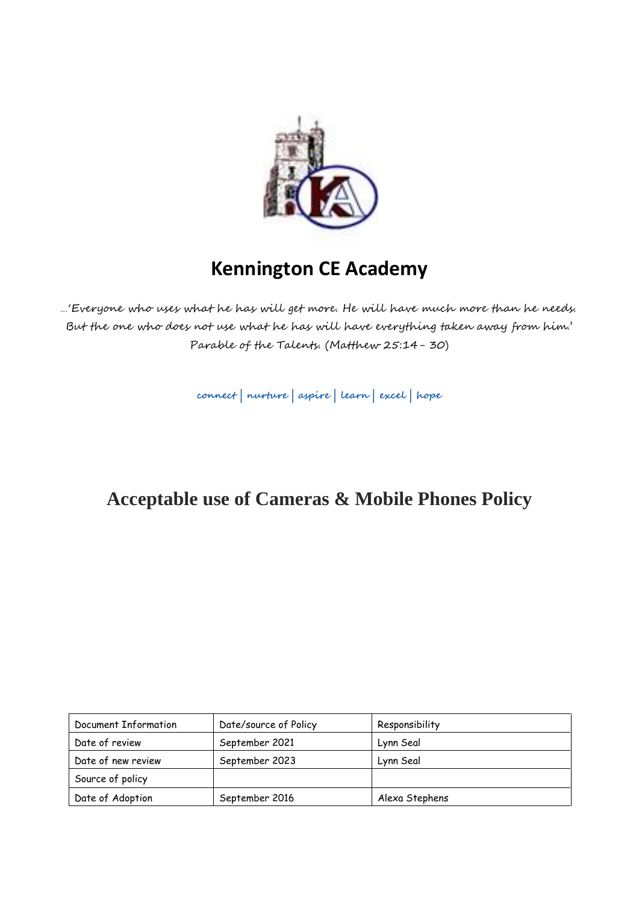

# **Kennington CE Academy**

…'Everyone who uses what he has will get more. He will have much more than he needs. But the one who does not use what he has will have everything taken away from him.' Parable of the Talents. (Matthew 25:14- 30)

**connect | nurture | aspire | learn | excel | hope**

## **Acceptable use of Cameras & Mobile Phones Policy**

| Document Information | Date/source of Policy | Responsibility |
|----------------------|-----------------------|----------------|
|                      |                       |                |
| Date of review       | September 2021        | Lynn Seal      |
| Date of new review   | September 2023        | Lynn Seal      |
| Source of policy     |                       |                |
| Date of Adoption     | September 2016        | Alexa Stephens |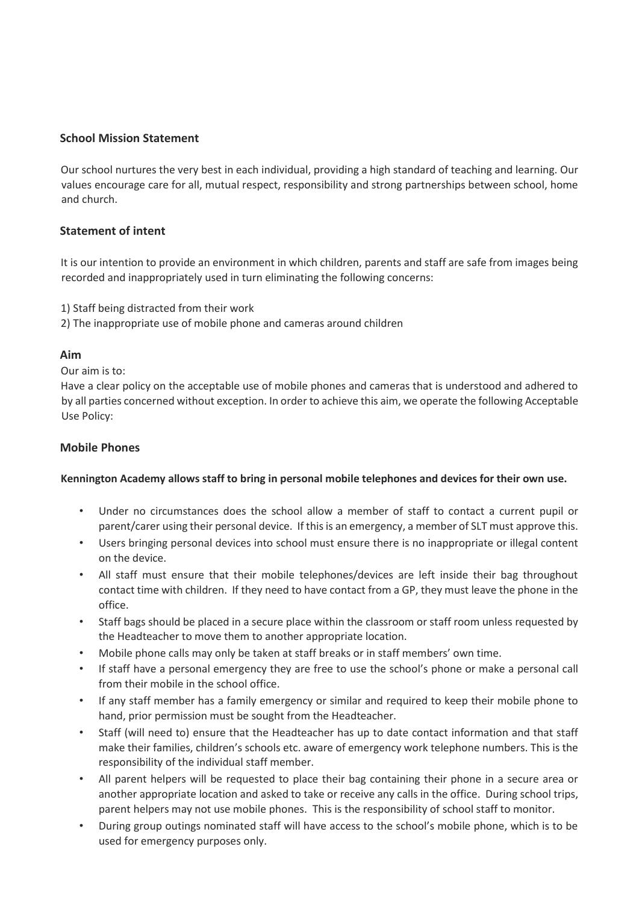### **School Mission Statement**

Our school nurtures the very best in each individual, providing a high standard of teaching and learning. Our values encourage care for all, mutual respect, responsibility and strong partnerships between school, home and church.

### **Statement of intent**

It is our intention to provide an environment in which children, parents and staff are safe from images being recorded and inappropriately used in turn eliminating the following concerns:

- 1) Staff being distracted from their work
- 2) The inappropriate use of mobile phone and cameras around children

#### **Aim**

Our aim is to:

Have a clear policy on the acceptable use of mobile phones and cameras that is understood and adhered to by all parties concerned without exception. In order to achieve this aim, we operate the following Acceptable Use Policy:

#### **Mobile Phones**

#### **Kennington Academy allows staff to bring in personal mobile telephones and devices for their own use.**

- Under no circumstances does the school allow a member of staff to contact a current pupil or parent/carer using their personal device. If this is an emergency, a member of SLT must approve this.
- Users bringing personal devices into school must ensure there is no inappropriate or illegal content on the device.
- All staff must ensure that their mobile telephones/devices are left inside their bag throughout contact time with children. If they need to have contact from a GP, they must leave the phone in the office.
- Staff bags should be placed in a secure place within the classroom or staff room unless requested by the Headteacher to move them to another appropriate location.
- Mobile phone calls may only be taken at staff breaks or in staff members' own time.
- If staff have a personal emergency they are free to use the school's phone or make a personal call from their mobile in the school office.
- If any staff member has a family emergency or similar and required to keep their mobile phone to hand, prior permission must be sought from the Headteacher.
- Staff (will need to) ensure that the Headteacher has up to date contact information and that staff make their families, children's schools etc. aware of emergency work telephone numbers. This is the responsibility of the individual staff member.
- All parent helpers will be requested to place their bag containing their phone in a secure area or another appropriate location and asked to take or receive any calls in the office. During school trips, parent helpers may not use mobile phones. This is the responsibility of school staff to monitor.
- During group outings nominated staff will have access to the school's mobile phone, which is to be used for emergency purposes only.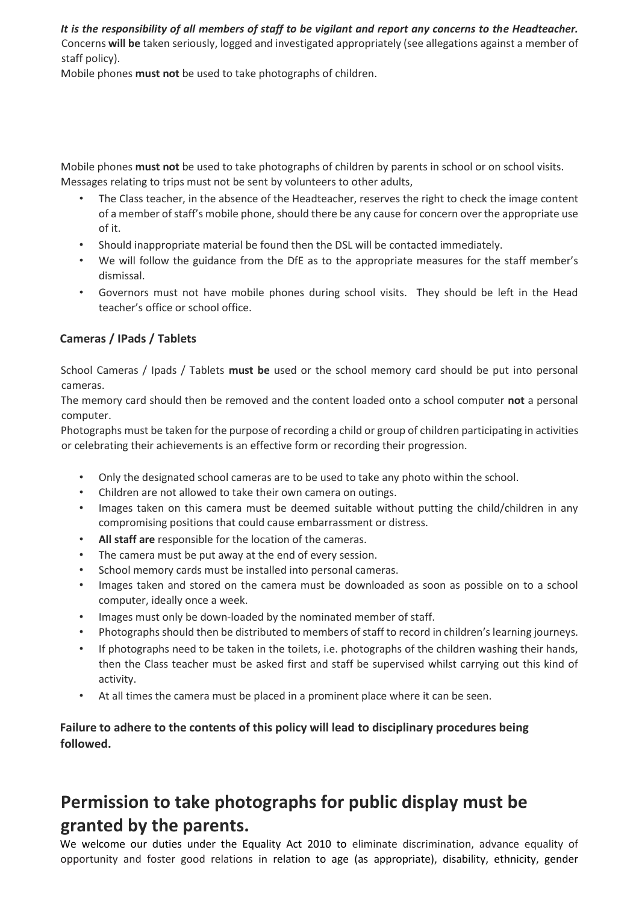*It is the responsibility of all members of staff to be vigilant and report any concerns to the Headteacher.*  Concerns **will be** taken seriously, logged and investigated appropriately (see allegations against a member of staff policy).

Mobile phones **must not** be used to take photographs of children.

Mobile phones **must not** be used to take photographs of children by parents in school or on school visits. Messages relating to trips must not be sent by volunteers to other adults,

- The Class teacher, in the absence of the Headteacher, reserves the right to check the image content of a member of staff's mobile phone, should there be any cause for concern over the appropriate use of it.
- Should inappropriate material be found then the DSL will be contacted immediately.
- We will follow the guidance from the DfE as to the appropriate measures for the staff member's dismissal.
- Governors must not have mobile phones during school visits. They should be left in the Head teacher's office or school office.

### **Cameras / IPads / Tablets**

School Cameras / Ipads / Tablets **must be** used or the school memory card should be put into personal cameras.

The memory card should then be removed and the content loaded onto a school computer **not** a personal computer.

Photographs must be taken for the purpose of recording a child or group of children participating in activities or celebrating their achievements is an effective form or recording their progression.

- Only the designated school cameras are to be used to take any photo within the school.
- Children are not allowed to take their own camera on outings.
- Images taken on this camera must be deemed suitable without putting the child/children in any compromising positions that could cause embarrassment or distress.
- **All staff are** responsible for the location of the cameras.
- The camera must be put away at the end of every session.
- School memory cards must be installed into personal cameras.
- Images taken and stored on the camera must be downloaded as soon as possible on to a school computer, ideally once a week.
- Images must only be down-loaded by the nominated member of staff.
- Photographs should then be distributed to members of staff to record in children's learning journeys.
- If photographs need to be taken in the toilets, i.e. photographs of the children washing their hands, then the Class teacher must be asked first and staff be supervised whilst carrying out this kind of activity.
- At all times the camera must be placed in a prominent place where it can be seen.

**Failure to adhere to the contents of this policy will lead to disciplinary procedures being followed.** 

## **Permission to take photographs for public display must be granted by the parents.**

We welcome our duties under the Equality Act 2010 to eliminate discrimination, advance equality of opportunity and foster good relations in relation to age (as appropriate), disability, ethnicity, gender